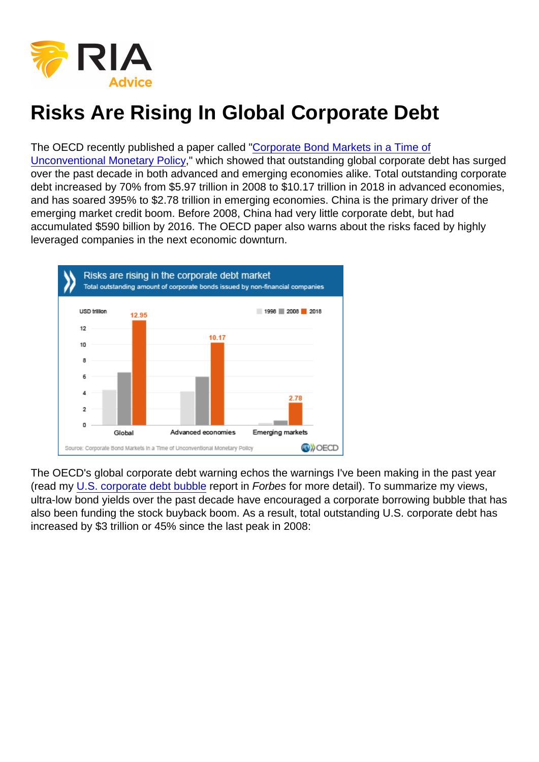## Risks Are Rising In Global Corporate Debt

## The OECD recently published a paper called ["Corporate Bond Markets in a Time of](http://www.oecd.org/corporate/Corporate-Bond-Markets-in-a-Time-of-Unconventional-Monetary-Policy.pdf)

[Unconventional Monetary Policy](http://www.oecd.org/corporate/Corporate-Bond-Markets-in-a-Time-of-Unconventional-Monetary-Policy.pdf)," which showed that outstanding global corporate debt has surged over the past decade in both advanced and emerging economies alike. Total outstanding corporate debt increased by 70% from \$5.97 trillion in 2008 to \$10.17 trillion in 2018 in advanced economies, and has soared 395% to \$2.78 trillion in emerging economies. China is the primary driver of the emerging market credit boom. Before 2008, China had very little corporate debt, but had accumulated \$590 billion by 2016. The OECD paper also warns about the risks faced by highly leveraged companies in the next economic downturn.

The OECD's global corporate debt warning echos the warnings I've been making in the past year (read my [U.S. corporate debt bubble](https://www.forbes.com/sites/jessecolombo/2018/08/29/the-u-s-is-experiencing-a-dangerous-corporate-debt-bubble/#2db350b9600e) report in Forbes for more detail). To summarize my views, ultra-low bond yields over the past decade have encouraged a corporate borrowing bubble that has also been funding the stock buyback boom. As a result, total outstanding U.S. corporate debt has increased by \$3 trillion or 45% since the last peak in 2008: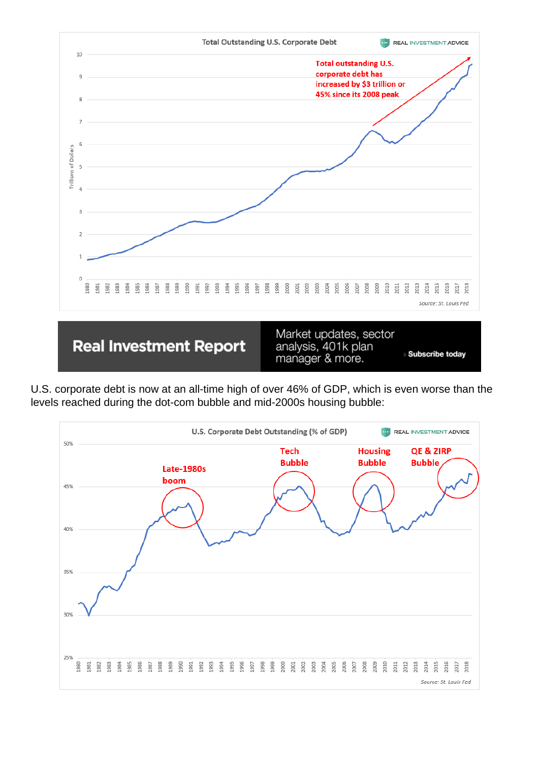

U.S. corporate debt is now at an all-time high of over 46% of GDP, which is even worse than the levels reached during the dot-com bubble and mid-2000s housing bubble: